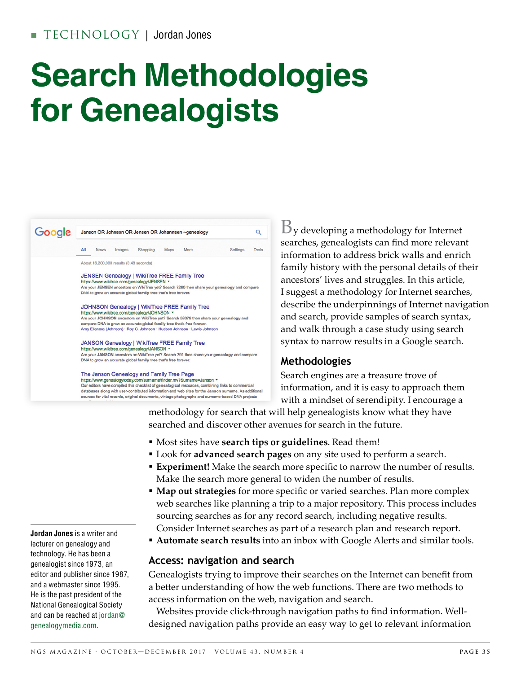# **Search Methodologies for Genealogists**



 $\mathbf{B}_{\mathbf{y}}$  developing a methodology for Internet searches, genealogists can find more relevant information to address brick walls and enrich family history with the personal details of their ancestors' lives and struggles. In this article, I suggest a methodology for Internet searches, describe the underpinnings of Internet navigation and search, provide samples of search syntax, and walk through a case study using search syntax to narrow results in a Google search.

#### **Methodologies**

Search engines are a treasure trove of information, and it is easy to approach them with a mindset of serendipity. I encourage a

methodology for search that will help genealogists know what they have searched and discover other avenues for search in the future.

- § Most sites have **search tips or guidelines**. Read them!
- § Look for **advanced search pages** on any site used to perform a search.
- **Experiment!** Make the search more specific to narrow the number of results. Make the search more general to widen the number of results.
- **Map out strategies** for more specific or varied searches. Plan more complex web searches like planning a trip to a major repository. This process includes sourcing searches as for any record search, including negative results. Consider Internet searches as part of a research plan and research report.
- **Automate search results** into an inbox with Google Alerts and similar tools.

#### **Access: navigation and search**

Genealogists trying to improve their searches on the Internet can beneft from a better understanding of how the web functions. There are two methods to access information on the web, navigation and search.

Websites provide click-through navigation paths to find information. Welldesigned navigation paths provide an easy way to get to relevant information

**Jordan Jones** is a writer and lecturer on genealogy and technology. He has been a genealogist since 1973, an editor and publisher since 1987, and a webmaster since 1995. He is the past president of the National Genealogical Society and can be reached at jordan@ genealogymedia.com.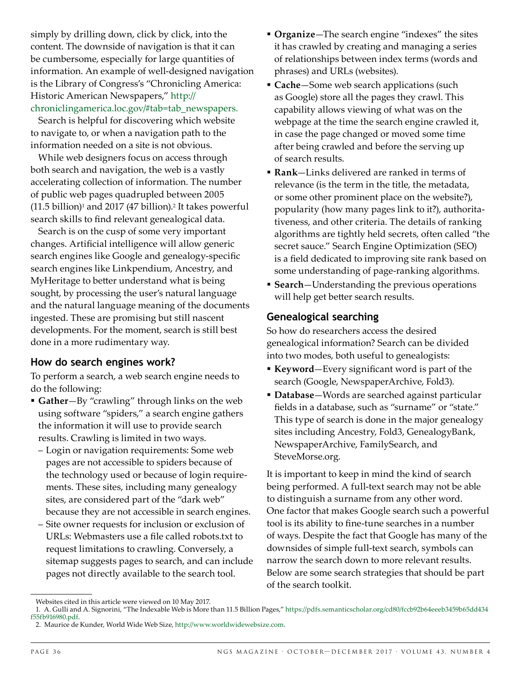simply by drilling down, click by click, into the content. The downside of navigation is that it can be cumbersome, especially for large quantities of information. An example of well-designed navigation is the Library of Congress's "Chronicling America: Historic American Newspapers," http:// chroniclingamerica.loc.gov/#tab=tab\_newspapers.

Search is helpful for discovering which website to navigate to, or when a navigation path to the information needed on a site is not obvious.

While web designers focus on access through both search and navigation, the web is a vastly accelerating collection of information. The number of public web pages quadrupled between 2005  $(11.5 \text{ billion})$ <sup>1</sup> and 2017 (47 billion).<sup>2</sup> It takes powerful search skills to find relevant genealogical data.

Search is on the cusp of some very important changes. Artifcial intelligence will allow generic search engines like Google and genealogy-specific search engines like Linkpendium, Ancestry, and MyHeritage to better understand what is being sought, by processing the user's natural language and the natural language meaning of the documents ingested. These are promising but still nascent developments. For the moment, search is still best done in a more rudimentary way.

#### **How do search engines work?**

To perform a search, a web search engine needs to do the following:

- § **Gather**—By "crawling" through links on the web using software "spiders," a search engine gathers the information it will use to provide search results. Crawling is limited in two ways.
	- Login or navigation requirements: Some web pages are not accessible to spiders because of the technology used or because of login requirements. These sites, including many genealogy sites, are considered part of the "dark web" because they are not accessible in search engines.
	- Site owner requests for inclusion or exclusion of URLs: Webmasters use a file called robots.txt to request limitations to crawling. Conversely, a sitemap suggests pages to search, and can include pages not directly available to the search tool.
- § **Organize**—The search engine "indexes" the sites it has crawled by creating and managing a series of relationships between index terms (words and phrases) and URLs (websites).
- § **Cache**—Some web search applications (such as Google) store all the pages they crawl. This capability allows viewing of what was on the webpage at the time the search engine crawled it, in case the page changed or moved some time after being crawled and before the serving up of search results.
- § **Rank**—Links delivered are ranked in terms of relevance (is the term in the title, the metadata, or some other prominent place on the website?), popularity (how many pages link to it?), authoritativeness, and other criteria. The details of ranking algorithms are tightly held secrets, often called "the secret sauce." Search Engine Optimization (SEO) is a field dedicated to improving site rank based on some understanding of page-ranking algorithms.
- § **Search**—Understanding the previous operations will help get better search results.

#### **Genealogical searching**

So how do researchers access the desired genealogical information? Search can be divided into two modes, both useful to genealogists:

- § **Keyword**—Every signifcant word is part of the search (Google, NewspaperArchive, Fold3).
- § **Database**—Words are searched against particular felds in a database, such as "surname" or "state." This type of search is done in the major genealogy sites including Ancestry, Fold3, GenealogyBank, NewspaperArchive, FamilySearch, and SteveMorse.org.

It is important to keep in mind the kind of search being performed. A full-text search may not be able to distinguish a surname from any other word. One factor that makes Google search such a powerful tool is its ability to fine-tune searches in a number of ways. Despite the fact that Google has many of the downsides of simple full-text search, symbols can narrow the search down to more relevant results. Below are some search strategies that should be part of the search toolkit.

Websites cited in this article were viewed on 10 May 2017.

<sup>1.</sup> A. Gulli and A. Signorini, "The Indexable Web is More than 11.5 Billion Pages," https://pdfs.semanticscholar.org/cd80/fccb92b64eeeb3459b65dd434 f55fb916980.pdf.

<sup>2.</sup> Maurice de Kunder, World Wide Web Size, http://www.worldwidewebsize.com.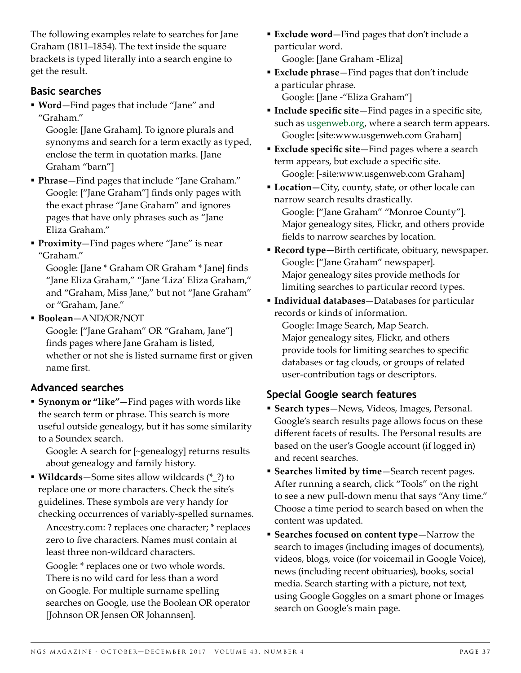The following examples relate to searches for Jane Graham (1811–1854). The text inside the square brackets is typed literally into a search engine to get the result.

#### **Basic searches**

§ **Word**—Find pages that include "Jane" and "Graham."

 Google: [Jane Graham]. To ignore plurals and synonyms and search for a term exactly as typed, enclose the term in quotation marks. [Jane Graham "barn"]

- § **Phrase**—Find pages that include "Jane Graham." Google: ["Jane Graham"] finds only pages with the exact phrase "Jane Graham" and ignores pages that have only phrases such as "Jane Eliza Graham."
- § **Proximity**—Find pages where "Jane" is near "Graham."

 Google: [Jane \* Graham OR Graham \* Jane] fnds "Jane Eliza Graham," "Jane 'Liza' Eliza Graham," and "Graham, Miss Jane," but not "Jane Graham" or "Graham, Jane."

§ **Boolean**—AND/OR/NOT

 Google: ["Jane Graham" OR "Graham, Jane"] finds pages where Jane Graham is listed, whether or not she is listed surname first or given name first.

### **Advanced searches**

§ **Synonym or "like"—**Find pages with words like the search term or phrase. This search is more useful outside genealogy, but it has some similarity to a Soundex search.

 Google: A search for [~genealogy] returns results about genealogy and family history.

§ **Wildcards**—Some sites allow wildcards (\*\_?) to replace one or more characters. Check the site's guidelines. These symbols are very handy for checking occurrences of variably-spelled surnames.

 Ancestry.com: ? replaces one character; \* replaces zero to five characters. Names must contain at least three non-wildcard characters.

 Google: \* replaces one or two whole words. There is no wild card for less than a word on Google. For multiple surname spelling searches on Google, use the Boolean OR operator [Johnson OR Jensen OR Johannsen].

- § **Exclude word**—Find pages that don't include a particular word. Google: [Jane Graham -Eliza]
- § **Exclude phrase**—Find pages that don't include a particular phrase. Google: [Jane -"Eliza Graham"]
- **Include specific site**-Find pages in a specific site, such as usgenweb.org, where a search term appears. Google**:** [site:www.usgenweb.com Graham]
- **Exclude specific site-Find pages where a search** term appears, but exclude a specific site. Google: [-site:www.usgenweb.com Graham]
- § **Location—**City, county, state, or other locale can narrow search results drastically.

 Google: ["Jane Graham" "Monroe County"]. Major genealogy sites, Flickr, and others provide felds to narrow searches by location.

- **Record type**—Birth certificate, obituary, newspaper. Google: ["Jane Graham" newspaper]. Major genealogy sites provide methods for limiting searches to particular record types.
- § **Individual databases**—Databases for particular records or kinds of information.

 Google: Image Search, Map Search. Major genealogy sites, Flickr, and others provide tools for limiting searches to specifc databases or tag clouds, or groups of related user-contribution tags or descriptors.

#### **Special Google search features**

- § **Search types**—News, Videos, Images, Personal. Google's search results page allows focus on these diferent facets of results. The Personal results are based on the user's Google account (if logged in) and recent searches.
- § **Searches limited by time**—Search recent pages. After running a search, click "Tools" on the right to see a new pull-down menu that says "Any time." Choose a time period to search based on when the content was updated.
- **Example 3 Searches focused on content type-Narrow the** search to images (including images of documents), videos, blogs, voice (for voicemail in Google Voice), news (including recent obituaries), books, social media. Search starting with a picture, not text, using Google Goggles on a smart phone or Images search on Google's main page.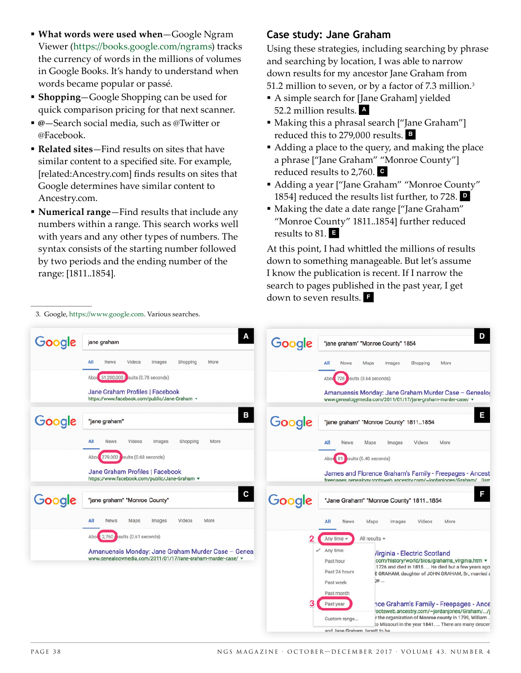- § **What words were used when**—Google Ngram Viewer (https://books.google.com/ngrams) tracks the currency of words in the millions of volumes in Google Books. It's handy to understand when words became popular or passé.
- § **Shopping**—Google Shopping can be used for quick comparison pricing for that next scanner.
- @—Search social media, such as @Twitter or @Facebook.
- § **Related sites**—Find results on sites that have similar content to a specifed site. For example, [related:Ancestry.com] fnds results on sites that Google determines have similar content to Ancestry.com.
- § **Numerical range**—Find results that include any numbers within a range. This search works well with years and any other types of numbers. The syntax consists of the starting number followed by two periods and the ending number of the range: [1811..1854].

3. Google, https://www.google.com. Various searches.

#### **Case study: Jane Graham**

Using these strategies, including searching by phrase and searching by location, I was able to narrow down results for my ancestor Jane Graham from 51.2 million to seven, or by a factor of 7.3 million.3

- § A simple search for [Jane Graham] yielded 52.2 million results. **<sup>A</sup>**
- Making this a phrasal search ["Jane Graham"] reduced this to 279,000 results. **<sup>B</sup>**
- Adding a place to the query, and making the place a phrase ["Jane Graham" "Monroe County"] reduced results to 2,760. **<sup>C</sup>**
- Adding a year ["Jane Graham" "Monroe County" 1854] reduced the results list further, to 728. **<sup>D</sup>**
- Making the date a date range ["Jane Graham" "Monroe County" 1811..1854] further reduced results to 81. **<sup>E</sup>**

At this point, I had whitled the millions of results down to something manageable. But let's assume I know the publication is recent. If I narrow the search to pages published in the past year, I get down to seven results. **<sup>F</sup>**